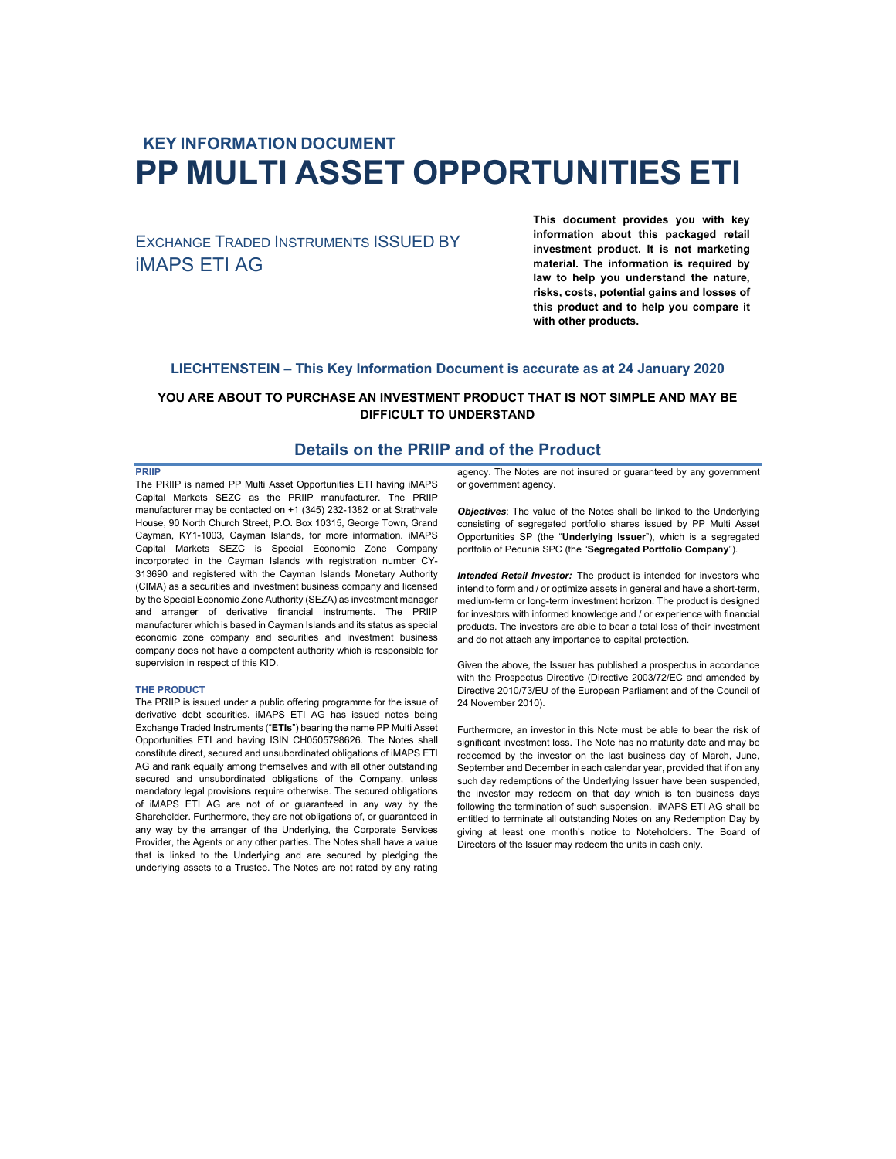# **KEY INFORMATION DOCUMENT PP MULTI ASSET OPPORTUNITIES ETI**

EXCHANGE TRADED INSTRUMENTS ISSUED BY iMAPS ETI AG

**This document provides you with key information about this packaged retail investment product. It is not marketing material. The information is required by law to help you understand the nature, risks, costs, potential gains and losses of this product and to help you compare it with other products.** 

## **LIECHTENSTEIN – This Key Information Document is accurate as at 24 January 2020**

### **YOU ARE ABOUT TO PURCHASE AN INVESTMENT PRODUCT THAT IS NOT SIMPLE AND MAY BE DIFFICULT TO UNDERSTAND**

## **Details on the PRIIP and of the Product**

#### **PRIIP**

The PRIIP is named PP Multi Asset Opportunities ETI having iMAPS Capital Markets SEZC as the PRIIP manufacturer. The PRIIP manufacturer may be contacted on +1 (345) 232-1382 or at Strathvale House, 90 North Church Street, P.O. Box 10315, George Town, Grand Cayman, KY1-1003, Cayman Islands, for more information. iMAPS Capital Markets SEZC is Special Economic Zone Company incorporated in the Cayman Islands with registration number CY-313690 and registered with the Cayman Islands Monetary Authority (CIMA) as a securities and investment business company and licensed by the Special Economic Zone Authority (SEZA) as investment manager and arranger of derivative financial instruments. The PRIIP manufacturer which is based in Cayman Islands and its status as special economic zone company and securities and investment business company does not have a competent authority which is responsible for supervision in respect of this KID.

#### **THE PRODUCT**

The PRIIP is issued under a public offering programme for the issue of derivative debt securities. iMAPS ETI AG has issued notes being Exchange Traded Instruments ("**ETIs**") bearing the name PP Multi Asset Opportunities ETI and having ISIN CH0505798626. The Notes shall constitute direct, secured and unsubordinated obligations of iMAPS ETI AG and rank equally among themselves and with all other outstanding secured and unsubordinated obligations of the Company, unless mandatory legal provisions require otherwise. The secured obligations of iMAPS ETI AG are not of or guaranteed in any way by the Shareholder. Furthermore, they are not obligations of, or guaranteed in any way by the arranger of the Underlying, the Corporate Services Provider, the Agents or any other parties. The Notes shall have a value that is linked to the Underlying and are secured by pledging the underlying assets to a Trustee. The Notes are not rated by any rating

agency. The Notes are not insured or guaranteed by any government or government agency.

*Objectives*: The value of the Notes shall be linked to the Underlying consisting of segregated portfolio shares issued by PP Multi Asset Opportunities SP (the "**Underlying Issuer**"), which is a segregated portfolio of Pecunia SPC (the "**Segregated Portfolio Company**").

*Intended Retail Investor:* The product is intended for investors who intend to form and / or optimize assets in general and have a short-term, medium-term or long-term investment horizon. The product is designed for investors with informed knowledge and / or experience with financial products. The investors are able to bear a total loss of their investment and do not attach any importance to capital protection.

Given the above, the Issuer has published a prospectus in accordance with the Prospectus Directive (Directive 2003/72/EC and amended by Directive 2010/73/EU of the European Parliament and of the Council of 24 November 2010).

Furthermore, an investor in this Note must be able to bear the risk of significant investment loss. The Note has no maturity date and may be redeemed by the investor on the last business day of March, June, September and December in each calendar year, provided that if on any such day redemptions of the Underlying Issuer have been suspended, the investor may redeem on that day which is ten business days following the termination of such suspension. iMAPS ETI AG shall be entitled to terminate all outstanding Notes on any Redemption Day by giving at least one month's notice to Noteholders. The Board of Directors of the Issuer may redeem the units in cash only.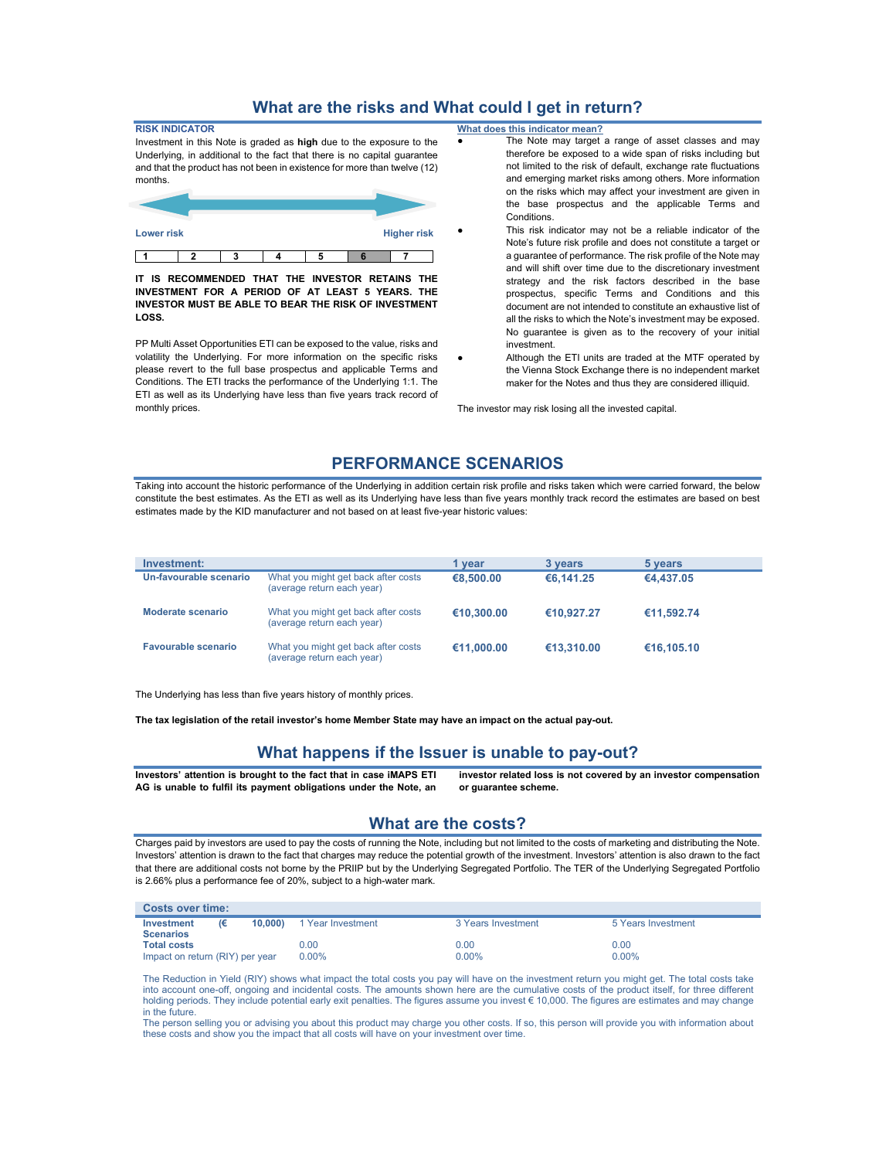# **What are the risks and What could I get in return?**

| <b>RISK INDICATOR</b>                                                    |   |   |  |  |  |                    |  |
|--------------------------------------------------------------------------|---|---|--|--|--|--------------------|--|
| Investment in this Note is graded as high due to the exposure to the     |   |   |  |  |  |                    |  |
| Underlying, in additional to the fact that there is no capital guarantee |   |   |  |  |  |                    |  |
| and that the product has not been in existence for more than twelve (12) |   |   |  |  |  |                    |  |
| months.                                                                  |   |   |  |  |  |                    |  |
|                                                                          |   |   |  |  |  |                    |  |
|                                                                          |   |   |  |  |  |                    |  |
|                                                                          |   |   |  |  |  |                    |  |
| <b>Lower risk</b>                                                        |   |   |  |  |  | <b>Higher risk</b> |  |
|                                                                          |   |   |  |  |  |                    |  |
|                                                                          | າ | າ |  |  |  |                    |  |

**IT IS RECOMMENDED THAT THE INVESTOR RETAINS THE INVESTMENT FOR A PERIOD OF AT LEAST 5 YEARS. THE INVESTOR MUST BE ABLE TO BEAR THE RISK OF INVESTMENT LOSS.** 

PP Multi Asset Opportunities ETI can be exposed to the value, risks and volatility the Underlying. For more information on the specific risks please revert to the full base prospectus and applicable Terms and Conditions. The ETI tracks the performance of the Underlying 1:1. The ETI as well as its Underlying have less than five years track record of monthly prices.

**What does this indicator mean?**

- The Note may target a range of asset classes and may therefore be exposed to a wide span of risks including but not limited to the risk of default, exchange rate fluctuations and emerging market risks among others. More information on the risks which may affect your investment are given in the base prospectus and the applicable Terms and Conditions.
- This risk indicator may not be a reliable indicator of the Note's future risk profile and does not constitute a target or a guarantee of performance. The risk profile of the Note may and will shift over time due to the discretionary investment strategy and the risk factors described in the base prospectus, specific Terms and Conditions and this document are not intended to constitute an exhaustive list of all the risks to which the Note's investment may be exposed. No guarantee is given as to the recovery of your initial investment.
- Although the ETI units are traded at the MTF operated by the Vienna Stock Exchange there is no independent market maker for the Notes and thus they are considered illiquid.

The investor may risk losing all the invested capital.

## **PERFORMANCE SCENARIOS**

Taking into account the historic performance of the Underlying in addition certain risk profile and risks taken which were carried forward, the below constitute the best estimates. As the ETI as well as its Underlying have less than five years monthly track record the estimates are based on best estimates made by the KID manufacturer and not based on at least five-year historic values:

| Investment:                |                                                                   | 1 vear     | 3 years    | 5 years    |
|----------------------------|-------------------------------------------------------------------|------------|------------|------------|
| Un-favourable scenario     | What you might get back after costs<br>(average return each year) | €8,500,00  | €6,141.25  | €4,437.05  |
| Moderate scenario          | What you might get back after costs<br>(average return each year) | €10,300,00 | €10.927.27 | €11,592.74 |
| <b>Favourable scenario</b> | What you might get back after costs<br>(average return each year) | €11.000.00 | €13,310,00 | €16.105.10 |

The Underlying has less than five years history of monthly prices.

**The tax legislation of the retail investor's home Member State may have an impact on the actual pay-out.** 

## **What happens if the Issuer is unable to pay-out?**

**Investors' attention is brought to the fact that in case iMAPS ETI AG is unable to fulfil its payment obligations under the Note, an** 

**investor related loss is not covered by an investor compensation or guarantee scheme.** 

#### **What are the costs?**

Charges paid by investors are used to pay the costs of running the Note, including but not limited to the costs of marketing and distributing the Note. Investors' attention is drawn to the fact that charges may reduce the potential growth of the investment. Investors' attention is also drawn to the fact that there are additional costs not borne by the PRIIP but by the Underlying Segregated Portfolio. The TER of the Underlying Segregated Portfolio is 2.66% plus a performance fee of 20%, subject to a high-water mark.

| <b>Costs over time:</b>         |    |        |                   |                    |                    |
|---------------------------------|----|--------|-------------------|--------------------|--------------------|
| Investment                      | ι€ | 10.000 | 1 Year Investment | 3 Years Investment | 5 Years Investment |
| <b>Scenarios</b>                |    |        |                   |                    |                    |
| <b>Total costs</b>              |    |        | 0.00              | 0.00               | 0.00               |
| Impact on return (RIY) per year |    |        | $0.00\%$          | $0.00\%$           | $0.00\%$           |

The Reduction in Yield (RIY) shows what impact the total costs you pay will have on the investment return you might get. The total costs take into account one-off, ongoing and incidental costs. The amounts shown here are the cumulative costs of the product itself, for three different holding periods. They include potential early exit penalties. The figures assume you invest € 10,000. The figures are estimates and may change in the future.

The person selling you or advising you about this product may charge you other costs. If so, this person will provide you with information about these costs and show you the impact that all costs will have on your investment over time.